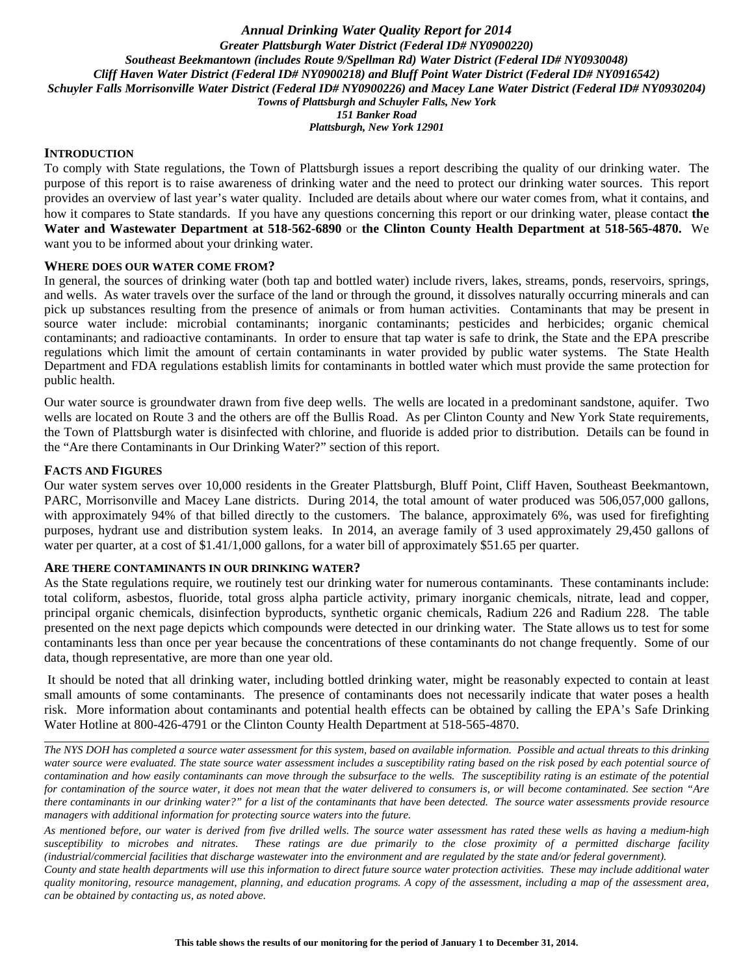*Annual Drinking Water Quality Report for 2014 Greater Plattsburgh Water District (Federal ID# NY0900220) Southeast Beekmantown (includes Route 9/Spellman Rd) Water District (Federal ID# NY0930048) Cliff Haven Water District (Federal ID# NY0900218) and Bluff Point Water District (Federal ID# NY0916542) Schuyler Falls Morrisonville Water District (Federal ID# NY0900226) and Macey Lane Water District (Federal ID# NY0930204) Towns of Plattsburgh and Schuyler Falls, New York 151 Banker Road Plattsburgh, New York 12901*

#### **INTRODUCTION**

To comply with State regulations, the Town of Plattsburgh issues a report describing the quality of our drinking water. The purpose of this report is to raise awareness of drinking water and the need to protect our drinking water sources. This report provides an overview of last year's water quality. Included are details about where our water comes from, what it contains, and how it compares to State standards. If you have any questions concerning this report or our drinking water, please contact **the Water and Wastewater Department at 518-562-6890** or **the Clinton County Health Department at 518-565-4870.** We want you to be informed about your drinking water.

#### **WHERE DOES OUR WATER COME FROM?**

In general, the sources of drinking water (both tap and bottled water) include rivers, lakes, streams, ponds, reservoirs, springs, and wells. As water travels over the surface of the land or through the ground, it dissolves naturally occurring minerals and can pick up substances resulting from the presence of animals or from human activities. Contaminants that may be present in source water include: microbial contaminants; inorganic contaminants; pesticides and herbicides; organic chemical contaminants; and radioactive contaminants. In order to ensure that tap water is safe to drink, the State and the EPA prescribe regulations which limit the amount of certain contaminants in water provided by public water systems. The State Health Department and FDA regulations establish limits for contaminants in bottled water which must provide the same protection for public health.

Our water source is groundwater drawn from five deep wells. The wells are located in a predominant sandstone, aquifer. Two wells are located on Route 3 and the others are off the Bullis Road. As per Clinton County and New York State requirements, the Town of Plattsburgh water is disinfected with chlorine, and fluoride is added prior to distribution. Details can be found in the "Are there Contaminants in Our Drinking Water?" section of this report.

#### **FACTS AND FIGURES**

Our water system serves over 10,000 residents in the Greater Plattsburgh, Bluff Point, Cliff Haven, Southeast Beekmantown, PARC, Morrisonville and Macey Lane districts. During 2014, the total amount of water produced was 506,057,000 gallons, with approximately 94% of that billed directly to the customers. The balance, approximately 6%, was used for firefighting purposes, hydrant use and distribution system leaks. In 2014, an average family of 3 used approximately 29,450 gallons of water per quarter, at a cost of \$1.41/1,000 gallons, for a water bill of approximately \$51.65 per quarter.

## **ARE THERE CONTAMINANTS IN OUR DRINKING WATER?**

As the State regulations require, we routinely test our drinking water for numerous contaminants. These contaminants include: total coliform, asbestos, fluoride, total gross alpha particle activity, primary inorganic chemicals, nitrate, lead and copper, principal organic chemicals, disinfection byproducts, synthetic organic chemicals, Radium 226 and Radium 228. The table presented on the next page depicts which compounds were detected in our drinking water. The State allows us to test for some contaminants less than once per year because the concentrations of these contaminants do not change frequently. Some of our data, though representative, are more than one year old.

 It should be noted that all drinking water, including bottled drinking water, might be reasonably expected to contain at least small amounts of some contaminants. The presence of contaminants does not necessarily indicate that water poses a health risk. More information about contaminants and potential health effects can be obtained by calling the EPA's Safe Drinking Water Hotline at 800-426-4791 or the Clinton County Health Department at 518-565-4870.

*The NYS DOH has completed a source water assessment for this system, based on available information. Possible and actual threats to this drinking*  water source were evaluated. The state source water assessment includes a susceptibility rating based on the risk posed by each potential source of *contamination and how easily contaminants can move through the subsurface to the wells. The susceptibility rating is an estimate of the potential for contamination of the source water, it does not mean that the water delivered to consumers is, or will become contaminated. See section "Are there contaminants in our drinking water?" for a list of the contaminants that have been detected. The source water assessments provide resource managers with additional information for protecting source waters into the future.* 

*As mentioned before, our water is derived from five drilled wells. The source water assessment has rated these wells as having a medium-high susceptibility to microbes and nitrates. These ratings are due primarily to the close proximity of a permitted discharge facility (industrial/commercial facilities that discharge wastewater into the environment and are regulated by the state and/or federal government).* 

*County and state health departments will use this information to direct future source water protection activities. These may include additional water quality monitoring, resource management, planning, and education programs. A copy of the assessment, including a map of the assessment area, can be obtained by contacting us, as noted above.*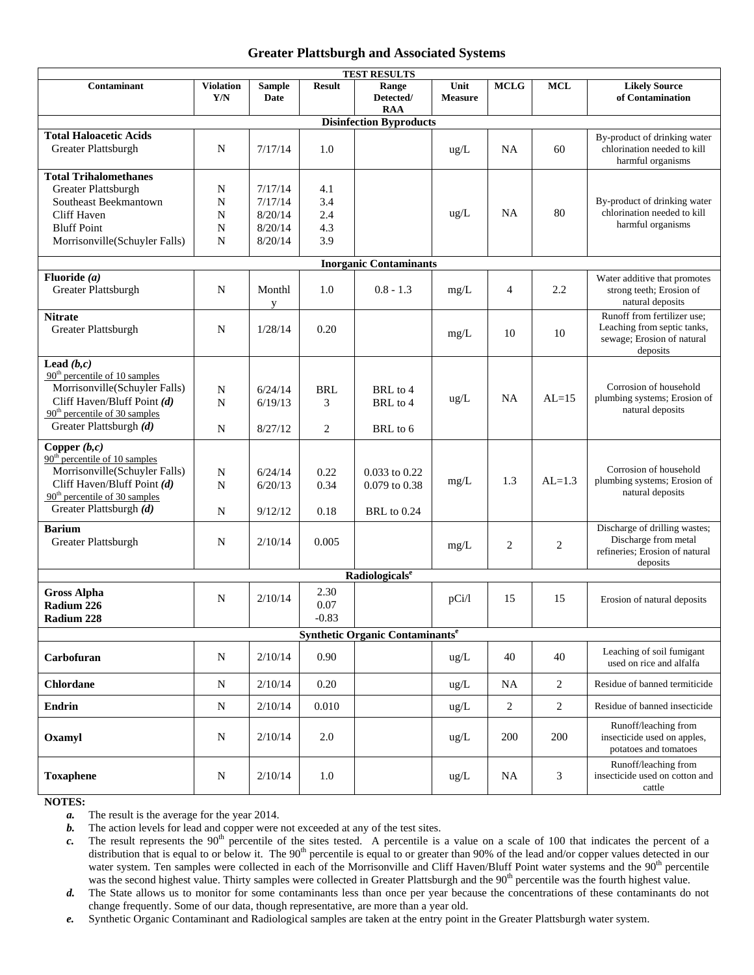#### **Greater Plattsburgh and Associated Systems**

| <b>TEST RESULTS</b>                                          |                         |                       |               |                                             |                        |                |                |                                                                                  |  |
|--------------------------------------------------------------|-------------------------|-----------------------|---------------|---------------------------------------------|------------------------|----------------|----------------|----------------------------------------------------------------------------------|--|
| Contaminant                                                  | <b>Violation</b><br>Y/N | <b>Sample</b><br>Date | <b>Result</b> | Range<br>Detected/<br><b>RAA</b>            | Unit<br><b>Measure</b> | <b>MCLG</b>    | <b>MCL</b>     | <b>Likely Source</b><br>of Contamination                                         |  |
| <b>Disinfection Byproducts</b>                               |                         |                       |               |                                             |                        |                |                |                                                                                  |  |
| <b>Total Haloacetic Acids</b><br>Greater Plattsburgh         | N                       | 7/17/14               | 1.0           |                                             | $\text{ug/L}$          | <b>NA</b>      | 60             | By-product of drinking water<br>chlorination needed to kill<br>harmful organisms |  |
| <b>Total Trihalomethanes</b>                                 |                         |                       |               |                                             |                        |                |                |                                                                                  |  |
| <b>Greater Plattsburgh</b>                                   | N                       | 7/17/14               | 4.1           |                                             |                        |                |                |                                                                                  |  |
| Southeast Beekmantown                                        | N                       | 7/17/14               | 3.4           |                                             |                        |                |                | By-product of drinking water                                                     |  |
| Cliff Haven                                                  | N                       | 8/20/14               | 2.4           |                                             | ug/L                   | <b>NA</b>      | 80             | chlorination needed to kill<br>harmful organisms                                 |  |
| <b>Bluff Point</b>                                           | N                       | 8/20/14               | 4.3           |                                             |                        |                |                |                                                                                  |  |
| Morrisonville(Schuyler Falls)                                | N                       | 8/20/14               | 3.9           |                                             |                        |                |                |                                                                                  |  |
| <b>Inorganic Contaminants</b>                                |                         |                       |               |                                             |                        |                |                |                                                                                  |  |
| Fluoride $(a)$                                               |                         |                       |               |                                             |                        |                |                | Water additive that promotes                                                     |  |
| <b>Greater Plattsburgh</b>                                   | N                       | Monthl<br>y           | 1.0           | $0.8 - 1.3$                                 | mg/L                   | $\overline{4}$ | 2.2            | strong teeth; Erosion of<br>natural deposits                                     |  |
| <b>Nitrate</b>                                               |                         |                       |               |                                             |                        |                |                | Runoff from fertilizer use:                                                      |  |
| Greater Plattsburgh                                          | N                       | 1/28/14               | 0.20          |                                             | mg/L                   | 10             | 10             | Leaching from septic tanks,<br>sewage; Erosion of natural<br>deposits            |  |
| Lead $(b, c)$                                                |                         |                       |               |                                             |                        |                |                |                                                                                  |  |
| $90th$ percentile of 10 samples                              |                         |                       |               |                                             |                        |                |                | Corrosion of household                                                           |  |
| Morrisonville(Schuyler Falls)<br>Cliff Haven/Bluff Point (d) | N                       | 6/24/14               | BRL           | BRL to 4                                    | $ug/L$                 | <b>NA</b>      | $AI = 15$      | plumbing systems; Erosion of                                                     |  |
| $90th$ percentile of 30 samples                              | N                       | 6/19/13               | 3             | BRL to 4                                    |                        |                |                | natural deposits                                                                 |  |
| Greater Plattsburgh (d)                                      | $\mathbf N$             | 8/27/12               | 2             | BRL to 6                                    |                        |                |                |                                                                                  |  |
| Copper $(b,c)$                                               |                         |                       |               |                                             |                        |                |                |                                                                                  |  |
| $90th$ percentile of 10 samples                              |                         |                       |               |                                             |                        |                |                |                                                                                  |  |
| Morrisonville(Schuyler Falls)                                | $\mathbf N$             | 6/24/14               | 0.22          | 0.033 to 0.22                               |                        |                |                | Corrosion of household                                                           |  |
| Cliff Haven/Bluff Point (d)                                  | N                       | 6/20/13               | 0.34          | 0.079 to 0.38                               | $mg/L$                 | 1.3            | $AL=1.3$       | plumbing systems; Erosion of                                                     |  |
| $90th$ percentile of 30 samples                              |                         |                       |               |                                             |                        |                |                | natural deposits                                                                 |  |
| Greater Plattsburgh (d)                                      | N                       | 9/12/12               | 0.18          | <b>BRL</b> to 0.24                          |                        |                |                |                                                                                  |  |
| <b>Barium</b>                                                |                         |                       |               |                                             |                        |                |                | Discharge of drilling wastes;                                                    |  |
| Greater Plattsburgh                                          | N                       | 2/10/14               | 0.005         |                                             | mg/L                   | $\overline{c}$ | 2              | Discharge from metal                                                             |  |
|                                                              |                         |                       |               |                                             |                        |                |                | refineries; Erosion of natural<br>deposits                                       |  |
|                                                              |                         |                       |               | Radiologicals <sup>e</sup>                  |                        |                |                |                                                                                  |  |
| <b>Gross Alpha</b>                                           |                         |                       | 2.30          |                                             |                        |                |                |                                                                                  |  |
| Radium 226                                                   | N                       | 2/10/14               | 0.07          |                                             | pCi/l                  | 15             | 15             | Erosion of natural deposits                                                      |  |
| Radium 228                                                   |                         |                       | $-0.83$       |                                             |                        |                |                |                                                                                  |  |
|                                                              |                         |                       |               | Synthetic Organic Contaminants <sup>e</sup> |                        |                |                |                                                                                  |  |
|                                                              |                         |                       |               |                                             |                        |                |                | Leaching of soil fumigant                                                        |  |
| Carbofuran                                                   | N                       | 2/10/14               | 0.90          |                                             | $\text{ug/L}$          | 40             | 40             | used on rice and alfalfa                                                         |  |
| <b>Chlordane</b>                                             | N                       | 2/10/14               | 0.20          |                                             | $\text{ug/L}$          | NA.            | $\overline{c}$ | Residue of banned termiticide                                                    |  |
| <b>Endrin</b>                                                | N                       | 2/10/14               | 0.010         |                                             | ug/L                   | $\sqrt{2}$     | $\sqrt{2}$     | Residue of banned insecticide                                                    |  |
| Oxamyl                                                       | N                       | 2/10/14               | $2.0\,$       |                                             | $\text{ug/L}$          | 200            | 200            | Runoff/leaching from<br>insecticide used on apples,<br>potatoes and tomatoes     |  |
| <b>Toxaphene</b>                                             | $\mathbf N$             | 2/10/14               | 1.0           |                                             | $\text{ug/L}$          | <b>NA</b>      | 3              | Runoff/leaching from<br>insecticide used on cotton and                           |  |
| JOTELA                                                       |                         |                       |               |                                             |                        |                |                | cattle                                                                           |  |

**NOTES:** 

*a.* The result is the average for the year 2014.

*b.* The action levels for lead and copper were not exceeded at any of the test sites.

 $c$ . The result represents the 90<sup>th</sup> percentile of the sites tested. A percentile is a value on a scale of 100 that indicates the percent of a distribution that is equal to or below it. The  $90<sup>th</sup>$  percentile is equal to or greater than 90% of the lead and/or copper values detected in our water system. Ten samples were collected in each of the Morrisonville and Cliff Haven/Bluff Point water systems and the 90<sup>th</sup> percentile was the second highest value. Thirty samples were collected in Greater Plattsburgh and the 90<sup>th</sup> percentile was the fourth highest value.

*d.* The State allows us to monitor for some contaminants less than once per year because the concentrations of these contaminants do not change frequently. Some of our data, though representative, are more than a year old.

*e.* Synthetic Organic Contaminant and Radiological samples are taken at the entry point in the Greater Plattsburgh water system.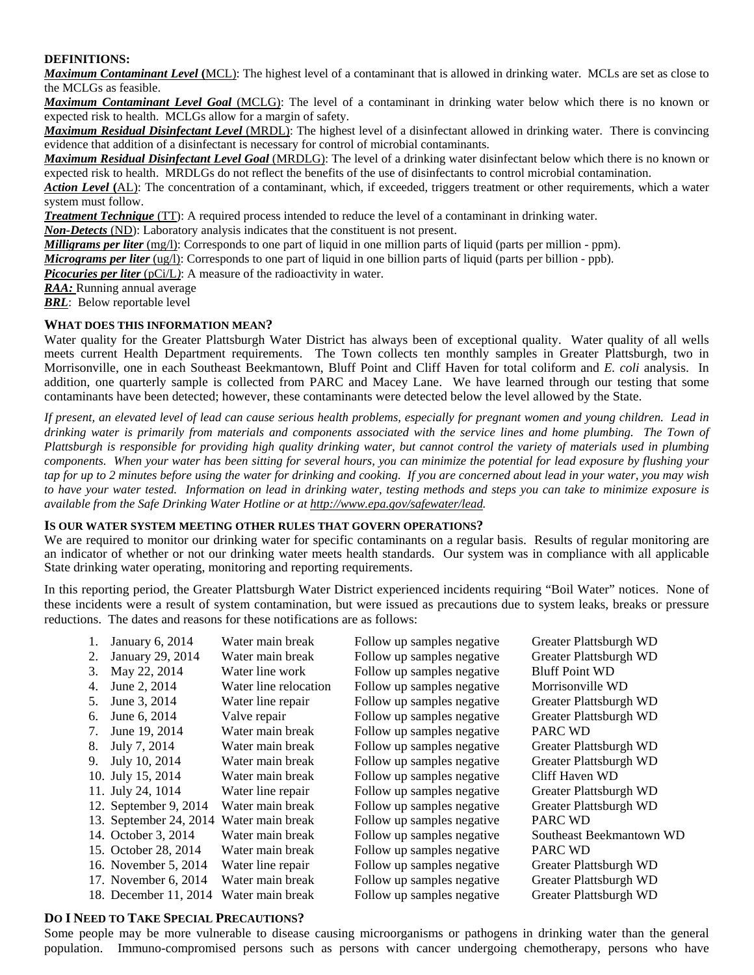## **DEFINITIONS:**

*Maximum Contaminant Level* **(**MCL): The highest level of a contaminant that is allowed in drinking water. MCLs are set as close to the MCLGs as feasible.

*Maximum Contaminant Level Goal* (MCLG): The level of a contaminant in drinking water below which there is no known or expected risk to health. MCLGs allow for a margin of safety.

*Maximum Residual Disinfectant Level* (MRDL): The highest level of a disinfectant allowed in drinking water. There is convincing evidence that addition of a disinfectant is necessary for control of microbial contaminants.

*Maximum Residual Disinfectant Level Goal* (MRDLG): The level of a drinking water disinfectant below which there is no known or expected risk to health. MRDLGs do not reflect the benefits of the use of disinfectants to control microbial contamination.

*Action Level* **(**AL): The concentration of a contaminant, which, if exceeded, triggers treatment or other requirements, which a water system must follow.

*Treatment Technique* (TT): A required process intended to reduce the level of a contaminant in drinking water.

*Non-Detects* (ND): Laboratory analysis indicates that the constituent is not present.

*Milligrams per liter* (mg/l): Corresponds to one part of liquid in one million parts of liquid (parts per million - ppm).

*Micrograms per liter* (ug/l): Corresponds to one part of liquid in one billion parts of liquid (parts per billion - ppb).

*Picocuries per liter* (pCi/L): A measure of the radioactivity in water.

*RAA:* Running annual average

*BRL*: Below reportable level

## **WHAT DOES THIS INFORMATION MEAN?**

Water quality for the Greater Plattsburgh Water District has always been of exceptional quality. Water quality of all wells meets current Health Department requirements. The Town collects ten monthly samples in Greater Plattsburgh, two in Morrisonville, one in each Southeast Beekmantown, Bluff Point and Cliff Haven for total coliform and *E. coli* analysis. In addition, one quarterly sample is collected from PARC and Macey Lane. We have learned through our testing that some contaminants have been detected; however, these contaminants were detected below the level allowed by the State.

*If present, an elevated level of lead can cause serious health problems, especially for pregnant women and young children. Lead in drinking water is primarily from materials and components associated with the service lines and home plumbing. The Town of Plattsburgh is responsible for providing high quality drinking water, but cannot control the variety of materials used in plumbing components. When your water has been sitting for several hours, you can minimize the potential for lead exposure by flushing your tap for up to 2 minutes before using the water for drinking and cooking. If you are concerned about lead in your water, you may wish to have your water tested. Information on lead in drinking water, testing methods and steps you can take to minimize exposure is available from the Safe Drinking Water Hotline or at http://www.epa.gov/safewater/lead.* 

## **IS OUR WATER SYSTEM MEETING OTHER RULES THAT GOVERN OPERATIONS?**

We are required to monitor our drinking water for specific contaminants on a regular basis. Results of regular monitoring are an indicator of whether or not our drinking water meets health standards. Our system was in compliance with all applicable State drinking water operating, monitoring and reporting requirements.

In this reporting period, the Greater Plattsburgh Water District experienced incidents requiring "Boil Water" notices. None of these incidents were a result of system contamination, but were issued as precautions due to system leaks, breaks or pressure reductions. The dates and reasons for these notifications are as follows:

| 1. | January 6, 2014        | Water main break      | Follow up samples negative | Greater Plattsburgh WD   |
|----|------------------------|-----------------------|----------------------------|--------------------------|
| 2. | January 29, 2014       | Water main break      | Follow up samples negative | Greater Plattsburgh WD   |
| 3. | May 22, 2014           | Water line work       | Follow up samples negative | <b>Bluff Point WD</b>    |
| 4. | June 2, 2014           | Water line relocation | Follow up samples negative | Morrisonville WD         |
| 5. | June 3, 2014           | Water line repair     | Follow up samples negative | Greater Plattsburgh WD   |
| 6. | June 6, 2014           | Valve repair          | Follow up samples negative | Greater Plattsburgh WD   |
| 7. | June 19, 2014          | Water main break      | Follow up samples negative | <b>PARC WD</b>           |
| 8. | July 7, 2014           | Water main break      | Follow up samples negative | Greater Plattsburgh WD   |
| 9. | July 10, 2014          | Water main break      | Follow up samples negative | Greater Plattsburgh WD   |
|    | 10. July 15, 2014      | Water main break      | Follow up samples negative | Cliff Haven WD           |
|    | 11. July 24, 1014      | Water line repair     | Follow up samples negative | Greater Plattsburgh WD   |
|    | 12. September 9, 2014  | Water main break      | Follow up samples negative | Greater Plattsburgh WD   |
|    | 13. September 24, 2014 | Water main break      | Follow up samples negative | PARC WD                  |
|    | 14. October 3, 2014    | Water main break      | Follow up samples negative | Southeast Beekmantown WD |
|    | 15. October 28, 2014   | Water main break      | Follow up samples negative | PARC WD                  |
|    | 16. November 5, 2014   | Water line repair     | Follow up samples negative | Greater Plattsburgh WD   |
|    | 17. November 6, 2014   | Water main break      | Follow up samples negative | Greater Plattsburgh WD   |
|    | 18. December 11, 2014  | Water main break      | Follow up samples negative | Greater Plattsburgh WD   |

# **DO I NEED TO TAKE SPECIAL PRECAUTIONS?**

Some people may be more vulnerable to disease causing microorganisms or pathogens in drinking water than the general population. Immuno-compromised persons such as persons with cancer undergoing chemotherapy, persons who have